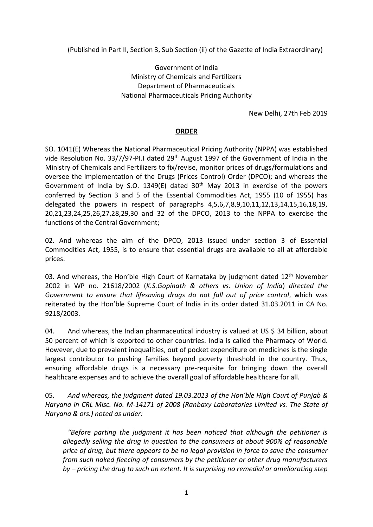(Published in Part II, Section 3, Sub Section (ii) of the Gazette of India Extraordinary)

Government of India Ministry of Chemicals and Fertilizers Department of Pharmaceuticals National Pharmaceuticals Pricing Authority

New Delhi, 27th Feb 2019

# **ORDER**

SO. 1041(E) Whereas the National Pharmaceutical Pricing Authority (NPPA) was established vide Resolution No. 33/7/97-PI.I dated 29<sup>th</sup> August 1997 of the Government of India in the Ministry of Chemicals and Fertilizers to fix/revise, monitor prices of drugs/formulations and oversee the implementation of the Drugs (Prices Control) Order (DPCO); and whereas the Government of India by S.O. 1349(E) dated 30<sup>th</sup> May 2013 in exercise of the powers conferred by Section 3 and 5 of the Essential Commodities Act, 1955 (10 of 1955) has delegated the powers in respect of paragraphs 4,5,6,7,8,9,10,11,12,13,14,15,16,18,19, 20,21,23,24,25,26,27,28,29,30 and 32 of the DPCO, 2013 to the NPPA to exercise the functions of the Central Government;

02. And whereas the aim of the DPCO, 2013 issued under section 3 of Essential Commodities Act, 1955, is to ensure that essential drugs are available to all at affordable prices.

03. And whereas, the Hon'ble High Court of Karnataka by judgment dated 12<sup>th</sup> November 2002 in WP no. 21618/2002 (*K.S.Gopinath & others vs. Union of India*) *directed the Government to ensure that lifesaving drugs do not fall out of price control*, which was reiterated by the Hon'ble Supreme Court of India in its order dated 31.03.2011 in CA No. 9218/2003.

04. And whereas, the Indian pharmaceutical industry is valued at US \$ 34 billion, about 50 percent of which is exported to other countries. India is called the Pharmacy of World. However, due to prevalent inequalities, out of pocket expenditure on medicines is the single largest contributor to pushing families beyond poverty threshold in the country. Thus, ensuring affordable drugs is a necessary pre-requisite for bringing down the overall healthcare expenses and to achieve the overall goal of affordable healthcare for all.

05. *And whereas, the judgment dated 19.03.2013 of the Hon'ble High Court of Punjab & Haryana in CRL Misc. No. M-14171 of 2008 (Ranbaxy Laboratories Limited vs. The State of Haryana & ors.) noted as under:*

*"Before parting the judgment it has been noticed that although the petitioner is allegedly selling the drug in question to the consumers at about 900% of reasonable price of drug, but there appears to be no legal provision in force to save the consumer from such naked fleecing of consumers by the petitioner or other drug manufacturers by – pricing the drug to such an extent. It is surprising no remedial or ameliorating step*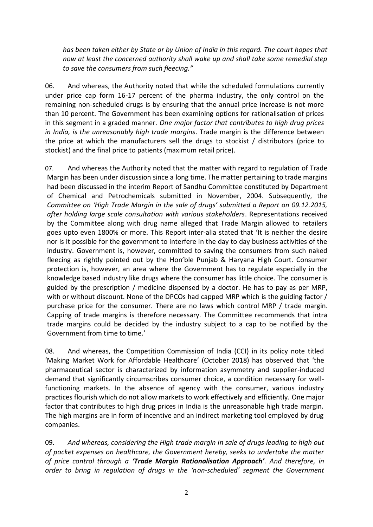*has been taken either by State or by Union of India in this regard. The court hopes that now at least the concerned authority shall wake up and shall take some remedial step to save the consumers from such fleecing."*

06. And whereas, the Authority noted that while the scheduled formulations currently under price cap form 16-17 percent of the pharma industry, the only control on the remaining non-scheduled drugs is by ensuring that the annual price increase is not more than 10 percent. The Government has been examining options for rationalisation of prices in this segment in a graded manner. *One major factor that contributes to high drug prices in India, is the unreasonably high trade margins*. Trade margin is the difference between the price at which the manufacturers sell the drugs to stockist / distributors (price to stockist) and the final price to patients (maximum retail price).

07. And whereas the Authority noted that the matter with regard to regulation of Trade Margin has been under discussion since a long time. The matter pertaining to trade margins had been discussed in the interim Report of Sandhu Committee constituted by Department of Chemical and Petrochemicals submitted in November, 2004. Subsequently, the *Committee on 'High Trade Margin in the sale of drugs' submitted a Report on 09.12.2015, after holding large scale consultation with various stakeholders*. Representations received by the Committee along with drug name alleged that Trade Margin allowed to retailers goes upto even 1800% or more. This Report inter-alia stated that 'It is neither the desire nor is it possible for the government to interfere in the day to day business activities of the industry. Government is, however, committed to saving the consumers from such naked fleecing as rightly pointed out by the Hon'ble Punjab & Haryana High Court. Consumer protection is, however, an area where the Government has to regulate especially in the knowledge based industry like drugs where the consumer has little choice. The consumer is guided by the prescription / medicine dispensed by a doctor. He has to pay as per MRP, with or without discount. None of the DPCOs had capped MRP which is the guiding factor / purchase price for the consumer. There are no laws which control MRP / trade margin. Capping of trade margins is therefore necessary. The Committee recommends that intra trade margins could be decided by the industry subject to a cap to be notified by the Government from time to time.'

08. And whereas, the Competition Commission of India (CCI) in its policy note titled 'Making Market Work for Affordable Healthcare' (October 2018) has observed that 'the pharmaceutical sector is characterized by information asymmetry and supplier-induced demand that significantly circumscribes consumer choice, a condition necessary for wellfunctioning markets. In the absence of agency with the consumer, various industry practices flourish which do not allow markets to work effectively and efficiently. One major factor that contributes to high drug prices in India is the unreasonable high trade margin. The high margins are in form of incentive and an indirect marketing tool employed by drug companies.

09. *And whereas, considering the High trade margin in sale of drugs leading to high out of pocket expenses on healthcare, the Government hereby, seeks to undertake the matter of price control through a 'Trade Margin Rationalisation Approach'. And therefore, in order to bring in regulation of drugs in the 'non-scheduled' segment the Government*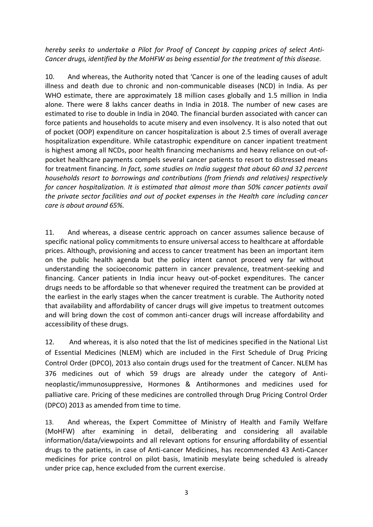*hereby seeks to undertake a Pilot for Proof of Concept by capping prices of select Anti-Cancer drugs, identified by the MoHFW as being essential for the treatment of this disease.*

10. And whereas, the Authority noted that 'Cancer is one of the leading causes of adult illness and death due to chronic and non-communicable diseases (NCD) in India. As per WHO estimate, there are approximately 18 million cases globally and 1.5 million in India alone. There were 8 lakhs cancer deaths in India in 2018. The number of new cases are estimated to rise to double in India in 2040. The financial burden associated with cancer can force patients and households to acute misery and even insolvency. It is also noted that out of pocket (OOP) expenditure on cancer hospitalization is about 2.5 times of overall average hospitalization expenditure. While catastrophic expenditure on cancer inpatient treatment is highest among all NCDs, poor health financing mechanisms and heavy reliance on out-ofpocket healthcare payments compels several cancer patients to resort to distressed means for treatment financing. *In fact, some studies on India suggest that about 60 and 32 percent households resort to borrowings and contributions (from friends and relatives) respectively for cancer hospitalization. It is estimated that almost more than 50% cancer patients avail the private sector facilities and out of pocket expenses in the Health care including cancer care is about around 65%.*

11. And whereas, a disease centric approach on cancer assumes salience because of specific national policy commitments to ensure universal access to healthcare at affordable prices. Although, provisioning and access to cancer treatment has been an important item on the public health agenda but the policy intent cannot proceed very far without understanding the socioeconomic pattern in cancer prevalence, treatment-seeking and financing. Cancer patients in India incur heavy out-of-pocket expenditures. The cancer drugs needs to be affordable so that whenever required the treatment can be provided at the earliest in the early stages when the cancer treatment is curable. The Authority noted that availability and affordability of cancer drugs will give impetus to treatment outcomes and will bring down the cost of common anti-cancer drugs will increase affordability and accessibility of these drugs.

12. And whereas, it is also noted that the list of medicines specified in the National List of Essential Medicines (NLEM) which are included in the First Schedule of Drug Pricing Control Order (DPCO), 2013 also contain drugs used for the treatment of Cancer. NLEM has 376 medicines out of which 59 drugs are already under the category of Antineoplastic/immunosuppressive, Hormones & Antihormones and medicines used for palliative care. Pricing of these medicines are controlled through Drug Pricing Control Order (DPCO) 2013 as amended from time to time.

13. And whereas, the Expert Committee of Ministry of Health and Family Welfare (MoHFW) after examining in detail, deliberating and considering all available information/data/viewpoints and all relevant options for ensuring affordability of essential drugs to the patients, in case of Anti-cancer Medicines, has recommended 43 Anti-Cancer medicines for price control on pilot basis, Imatinib mesylate being scheduled is already under price cap, hence excluded from the current exercise.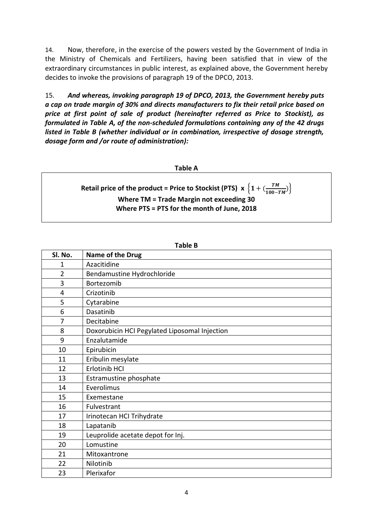14. Now, therefore, in the exercise of the powers vested by the Government of India in the Ministry of Chemicals and Fertilizers, having been satisfied that in view of the extraordinary circumstances in public interest, as explained above, the Government hereby decides to invoke the provisions of paragraph 19 of the DPCO, 2013.

15. *And whereas, invoking paragraph 19 of DPCO, 2013, the Government hereby puts a cap on trade margin of 30% and directs manufacturers to fix their retail price based on price at first point of sale of product (hereinafter referred as Price to Stockist), as formulated in Table A, of the non-scheduled formulations containing any of the 42 drugs listed in Table B (whether individual or in combination, irrespective of dosage strength, dosage form and /or route of administration):* 

#### **Table A**

#### **Retail price of the product = Price to Stockist (PTS)**  $x \left\{ 1 + \left( \frac{TM}{100} \right)^{2} \right\}$  $\left\{\frac{P}{100-TM}\right\}$ **Where TM = Trade Margin not exceeding 30 Where PTS = PTS for the month of June, 2018**

| Sl. No.        | Name of the Drug                              |  |  |  |  |  |
|----------------|-----------------------------------------------|--|--|--|--|--|
| 1              | Azacitidine                                   |  |  |  |  |  |
| $\overline{2}$ | Bendamustine Hydrochloride                    |  |  |  |  |  |
| 3              | Bortezomib                                    |  |  |  |  |  |
| $\overline{4}$ | Crizotinib                                    |  |  |  |  |  |
| 5              | Cytarabine                                    |  |  |  |  |  |
| 6              | Dasatinib                                     |  |  |  |  |  |
| 7              | Decitabine                                    |  |  |  |  |  |
| 8              | Doxorubicin HCI Pegylated Liposomal Injection |  |  |  |  |  |
| 9              | Enzalutamide                                  |  |  |  |  |  |
| 10             | Epirubicin                                    |  |  |  |  |  |
| 11             | Eribulin mesylate                             |  |  |  |  |  |
| 12             | Erlotinib HCI                                 |  |  |  |  |  |
| 13             | Estramustine phosphate                        |  |  |  |  |  |
| 14             | Everolimus                                    |  |  |  |  |  |
| 15             | Exemestane                                    |  |  |  |  |  |
| 16             | Fulvestrant                                   |  |  |  |  |  |
| 17             | Irinotecan HCI Trihydrate                     |  |  |  |  |  |
| 18             | Lapatanib                                     |  |  |  |  |  |
| 19             | Leuprolide acetate depot for Inj.             |  |  |  |  |  |
| 20             | Lomustine                                     |  |  |  |  |  |
| 21             | Mitoxantrone                                  |  |  |  |  |  |
| 22             | Nilotinib                                     |  |  |  |  |  |
| 23             | Plerixafor                                    |  |  |  |  |  |

**Table B**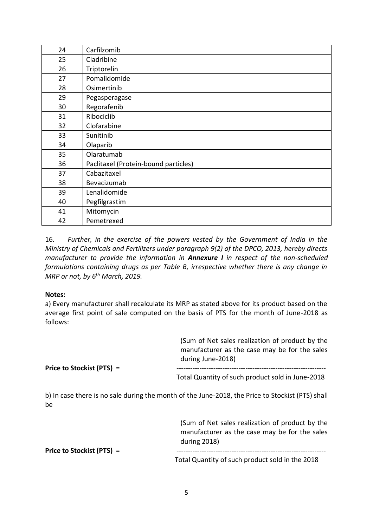| 24 | Carfilzomib                          |  |  |  |  |  |  |
|----|--------------------------------------|--|--|--|--|--|--|
| 25 | Cladribine                           |  |  |  |  |  |  |
| 26 | Triptorelin                          |  |  |  |  |  |  |
| 27 | Pomalidomide                         |  |  |  |  |  |  |
| 28 | Osimertinib                          |  |  |  |  |  |  |
| 29 | Pegasperagase                        |  |  |  |  |  |  |
| 30 | Regorafenib                          |  |  |  |  |  |  |
| 31 | Ribociclib                           |  |  |  |  |  |  |
| 32 | Clofarabine                          |  |  |  |  |  |  |
| 33 | Sunitinib                            |  |  |  |  |  |  |
| 34 | Olaparib                             |  |  |  |  |  |  |
| 35 | Olaratumab                           |  |  |  |  |  |  |
| 36 | Paclitaxel (Protein-bound particles) |  |  |  |  |  |  |
| 37 | Cabazitaxel                          |  |  |  |  |  |  |
| 38 | Bevacizumab                          |  |  |  |  |  |  |
| 39 | Lenalidomide                         |  |  |  |  |  |  |
| 40 | Pegfilgrastim                        |  |  |  |  |  |  |
| 41 | Mitomycin                            |  |  |  |  |  |  |
| 42 | Pemetrexed                           |  |  |  |  |  |  |

16. *Further, in the exercise of the powers vested by the Government of India in the Ministry of Chemicals and Fertilizers under paragraph 9(2) of the DPCO, 2013, hereby directs manufacturer to provide the information in Annexure I in respect of the non-scheduled formulations containing drugs as per Table B, irrespective whether there is any change in MRP or not, by 6 th March, 2019.*

## **Notes:**

a) Every manufacturer shall recalculate its MRP as stated above for its product based on the average first point of sale computed on the basis of PTS for the month of June-2018 as follows:

|                           | (Sum of Net sales realization of product by the<br>manufacturer as the case may be for the sales<br>during June-2018) |  |  |  |
|---------------------------|-----------------------------------------------------------------------------------------------------------------------|--|--|--|
| Price to Stockist (PTS) = | Total Quantity of such product sold in June-2018                                                                      |  |  |  |
| be                        | b) In case there is no sale during the month of the June-2018, the Price to Stockist (PTS) shall                      |  |  |  |
|                           | (Sum of Net sales realization of product by the<br>manufacturer as the case may be for the sales<br>during 2018)      |  |  |  |
| Price to Stockist (PTS) = |                                                                                                                       |  |  |  |

Total Quantity of such product sold in the 2018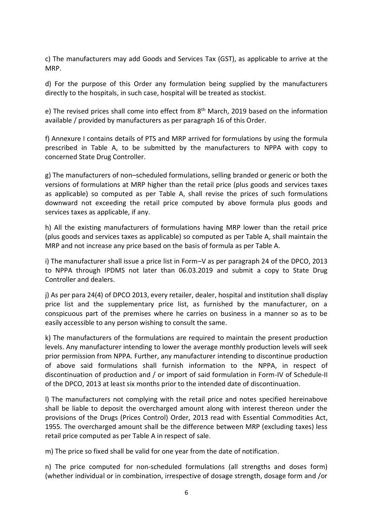c) The manufacturers may add Goods and Services Tax (GST), as applicable to arrive at the MRP.

d) For the purpose of this Order any formulation being supplied by the manufacturers directly to the hospitals, in such case, hospital will be treated as stockist.

e) The revised prices shall come into effect from 8<sup>th</sup> March, 2019 based on the information available / provided by manufacturers as per paragraph 16 of this Order.

f) Annexure I contains details of PTS and MRP arrived for formulations by using the formula prescribed in Table A, to be submitted by the manufacturers to NPPA with copy to concerned State Drug Controller.

g) The manufacturers of non–scheduled formulations, selling branded or generic or both the versions of formulations at MRP higher than the retail price (plus goods and services taxes as applicable) so computed as per Table A, shall revise the prices of such formulations downward not exceeding the retail price computed by above formula plus goods and services taxes as applicable, if any.

h) All the existing manufacturers of formulations having MRP lower than the retail price (plus goods and services taxes as applicable) so computed as per Table A, shall maintain the MRP and not increase any price based on the basis of formula as per Table A.

i) The manufacturer shall issue a price list in Form–V as per paragraph 24 of the DPCO, 2013 to NPPA through IPDMS not later than 06.03.2019 and submit a copy to State Drug Controller and dealers.

j) As per para 24(4) of DPCO 2013, every retailer, dealer, hospital and institution shall display price list and the supplementary price list, as furnished by the manufacturer, on a conspicuous part of the premises where he carries on business in a manner so as to be easily accessible to any person wishing to consult the same.

k) The manufacturers of the formulations are required to maintain the present production levels. Any manufacturer intending to lower the average monthly production levels will seek prior permission from NPPA. Further, any manufacturer intending to discontinue production of above said formulations shall furnish information to the NPPA, in respect of discontinuation of production and / or import of said formulation in Form-IV of Schedule-II of the DPCO, 2013 at least six months prior to the intended date of discontinuation.

l) The manufacturers not complying with the retail price and notes specified hereinabove shall be liable to deposit the overcharged amount along with interest thereon under the provisions of the Drugs (Prices Control) Order, 2013 read with Essential Commodities Act, 1955. The overcharged amount shall be the difference between MRP (excluding taxes) less retail price computed as per Table A in respect of sale.

m) The price so fixed shall be valid for one year from the date of notification.

n) The price computed for non-scheduled formulations (all strengths and doses form) (whether individual or in combination, irrespective of dosage strength, dosage form and /or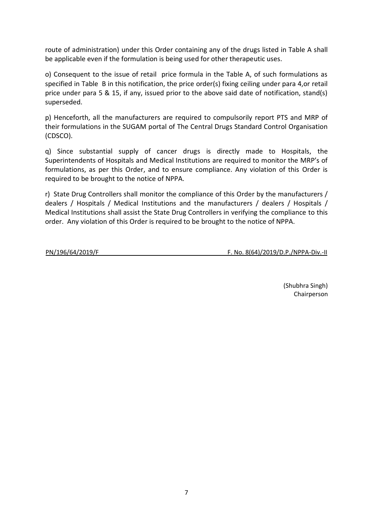route of administration) under this Order containing any of the drugs listed in Table A shall be applicable even if the formulation is being used for other therapeutic uses.

o) Consequent to the issue of retail price formula in the Table A, of such formulations as specified in Table B in this notification, the price order(s) fixing ceiling under para 4,or retail price under para 5 & 15, if any, issued prior to the above said date of notification, stand(s) superseded.

p) Henceforth, all the manufacturers are required to compulsorily report PTS and MRP of their formulations in the SUGAM portal of The Central Drugs Standard Control Organisation (CDSCO).

q) Since substantial supply of cancer drugs is directly made to Hospitals, the Superintendents of Hospitals and Medical Institutions are required to monitor the MRP's of formulations, as per this Order, and to ensure compliance. Any violation of this Order is required to be brought to the notice of NPPA.

r) State Drug Controllers shall monitor the compliance of this Order by the manufacturers / dealers / Hospitals / Medical Institutions and the manufacturers / dealers / Hospitals / Medical Institutions shall assist the State Drug Controllers in verifying the compliance to this order. Any violation of this Order is required to be brought to the notice of NPPA.

PN/196/64/2019/F F. No. 8(64)/2019/D.P./NPPA-Div.-II

(Shubhra Singh) Chairperson